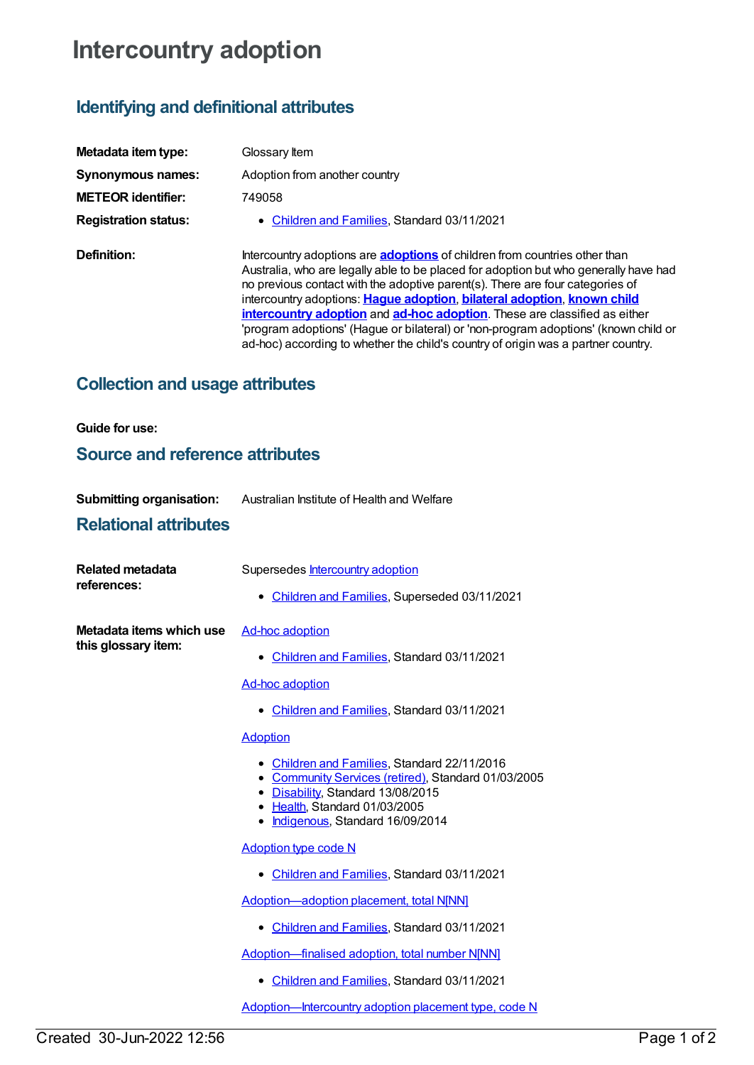# **Intercountry adoption**

# **Identifying and definitional attributes**

| Metadata item type:         | Glossary Item                                                                                                                                                                                                                                                                                                                                                                                                                                                                                                                                                                                  |
|-----------------------------|------------------------------------------------------------------------------------------------------------------------------------------------------------------------------------------------------------------------------------------------------------------------------------------------------------------------------------------------------------------------------------------------------------------------------------------------------------------------------------------------------------------------------------------------------------------------------------------------|
| Synonymous names:           | Adoption from another country                                                                                                                                                                                                                                                                                                                                                                                                                                                                                                                                                                  |
| <b>METEOR</b> identifier:   | 749058                                                                                                                                                                                                                                                                                                                                                                                                                                                                                                                                                                                         |
| <b>Registration status:</b> | • Children and Families, Standard 03/11/2021                                                                                                                                                                                                                                                                                                                                                                                                                                                                                                                                                   |
| Definition:                 | Intercountry adoptions are <b>adoptions</b> of children from countries other than<br>Australia, who are legally able to be placed for adoption but who generally have had<br>no previous contact with the adoptive parent(s). There are four categories of<br>intercountry adoptions: Hague adoption, bilateral adoption, known child<br>intercountry adoption and ad-hoc adoption. These are classified as either<br>'program adoptions' (Hague or bilateral) or 'non-program adoptions' (known child or<br>ad-hoc) according to whether the child's country of origin was a partner country. |

# **Collection and usage attributes**

### **Guide for use:**

### **Source and reference attributes**

| <b>Submitting organisation:</b> | Australian Institute of Health and Welfare |
|---------------------------------|--------------------------------------------|
|                                 |                                            |

### **Relational attributes**

| <b>Related metadata</b><br>references:          | Supersedes Intercountry adoption                                                                                                                                                                             |  |
|-------------------------------------------------|--------------------------------------------------------------------------------------------------------------------------------------------------------------------------------------------------------------|--|
|                                                 | • Children and Families, Superseded 03/11/2021                                                                                                                                                               |  |
| Metadata items which use<br>this glossary item: | <b>Ad-hoc adoption</b>                                                                                                                                                                                       |  |
|                                                 | • Children and Families, Standard 03/11/2021                                                                                                                                                                 |  |
|                                                 | <b>Ad-hoc adoption</b>                                                                                                                                                                                       |  |
|                                                 | • Children and Families, Standard 03/11/2021                                                                                                                                                                 |  |
|                                                 | <b>Adoption</b>                                                                                                                                                                                              |  |
|                                                 | • Children and Families, Standard 22/11/2016<br>• Community Services (retired), Standard 01/03/2005<br>• Disability, Standard 13/08/2015<br>• Health, Standard 01/03/2005<br>Indigenous, Standard 16/09/2014 |  |
|                                                 | <b>Adoption type code N</b>                                                                                                                                                                                  |  |
|                                                 | • Children and Families, Standard 03/11/2021                                                                                                                                                                 |  |
|                                                 | Adoption-adoption placement, total NJNN]                                                                                                                                                                     |  |
|                                                 | • Children and Families, Standard 03/11/2021                                                                                                                                                                 |  |
|                                                 | Adoption-finalised adoption, total number N[NN]                                                                                                                                                              |  |
|                                                 | • Children and Families, Standard 03/11/2021                                                                                                                                                                 |  |
|                                                 | Adoption-Intercountry adoption placement type, code N                                                                                                                                                        |  |